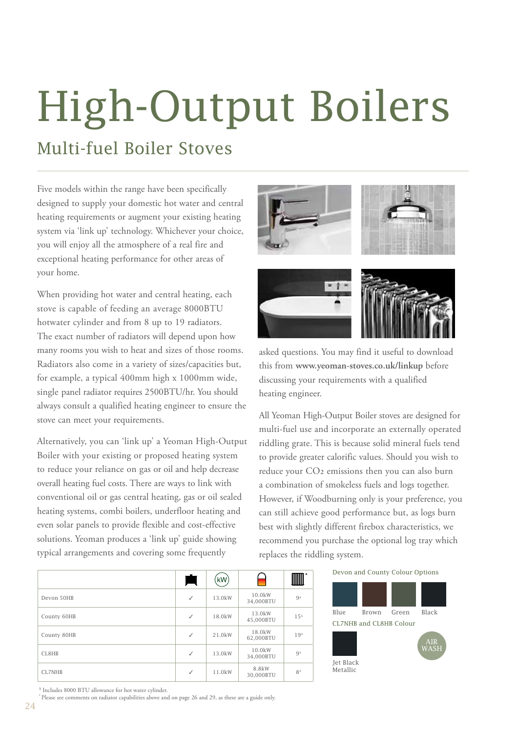# High-Output Boilers

### Multi-fuel Boiler Stoves

Five models within the range have been specifically designed to supply your domestic hot water and central heating requirements or augment your existing heating system via 'link up' technology. Whichever your choice, you will enjoy all the atmosphere of a real fire and exceptional heating performance for other areas of your home.

When providing hot water and central heating, each stove is capable of feeding an average 8000BTU hotwater cylinder and from 8 up to 19 radiators. The exact number of radiators will depend upon how many rooms you wish to heat and sizes of those rooms. Radiators also come in a variety of sizes/capacities but, for example, a typical 400mm high x 1000mm wide, single panel radiator requires 2500BTU/hr. You should always consult a qualified heating engineer to ensure the stove can meet your requirements.

Alternatively, you can 'link up' a Yeoman High-Output Boiler with your existing or proposed heating system to reduce your reliance on gas or oil and help decrease overall heating fuel costs. There are ways to link with conventional oil or gas central heating, gas or oil sealed heating systems, combi boilers, underfloor heating and even solar panels to provide flexible and cost-effective solutions. Yeoman produces a 'link up' guide showing typical arrangements and covering some frequently



asked questions. You may find it useful to download this from **www.yeoman-stoves.co.uk/linkup** before discussing your requirements with a qualified heating engineer.

All Yeoman High-Output Boiler stoves are designed for multi-fuel use and incorporate an externally operated riddling grate. This is because solid mineral fuels tend to provide greater calorific values. Should you wish to reduce your CO<sub>2</sub> emissions then you can also burn a combination of smokeless fuels and logs together. However, if Woodburning only is your preference, you can still achieve good performance but, as logs burn best with slightly different firebox characteristics, we recommend you purchase the optional log tray which replaces the riddling system.

|               | $\overline{\phantom{0}}$<br>$\overline{\phantom{a}}$ | (kW)   | حممما               | шш           |
|---------------|------------------------------------------------------|--------|---------------------|--------------|
| Devon 50HB    | ✓                                                    | 13.0kW | 10.0kW<br>34,000BTU | $9^4$        |
| County 60HB   | ✓                                                    | 18.0kW | 13.0kW<br>45,000BTU | $15^{\circ}$ |
| County 80HB   | ✓                                                    | 21.0kW | 18.0kW<br>62,000BTU | $19^4$       |
| CL8HB         | ✓                                                    | 13.0kW | 10.0kW<br>34,000BTU | $9^{\Delta}$ |
| <b>CL7NHB</b> | ✓                                                    | 11.0kW | 8.8kW<br>30,000BTU  | $8^{\Delta}$ |

#### Devon and County Colour Options



*<sup>∆</sup>* Includes 8000 BTU allowance for hot water cylinder.

**\*** Please see comments on radiator capabilities above and on page 26 and 29, as these are a guide only.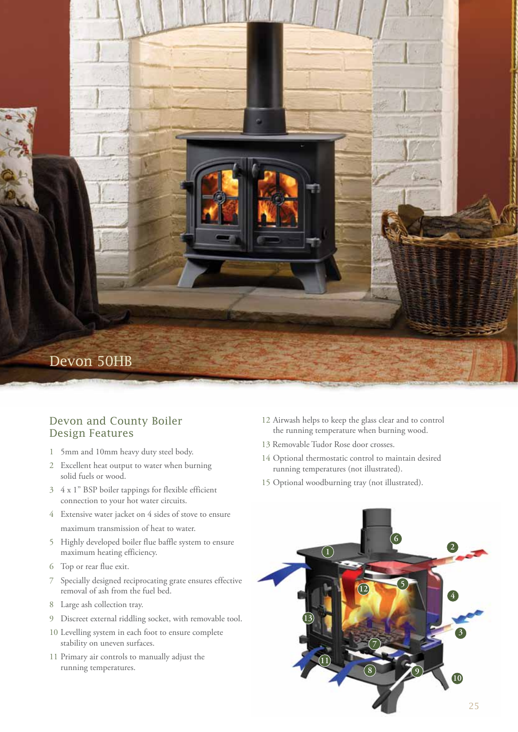

### Devon and County Boiler Design Features

- 5mm and 10mm heavy duty steel body.
- Excellent heat output to water when burning solid fuels or wood.
- 4 x 1" BSP boiler tappings for flexible efficient connection to your hot water circuits.
- Extensive water jacket on 4 sides of stove to ensure maximum transmission of heat to water.
- Highly developed boiler flue baffle system to ensure maximum heating efficiency.
- Top or rear flue exit.
- Specially designed reciprocating grate ensures effective removal of ash from the fuel bed.
- Large ash collection tray.
- Discreet external riddling socket, with removable tool.
- Levelling system in each foot to ensure complete stability on uneven surfaces.
- Primary air controls to manually adjust the running temperatures.
- Airwash helps to keep the glass clear and to control the running temperature when burning wood.
- 13 Removable Tudor Rose door crosses.
- Optional thermostatic control to maintain desired running temperatures (not illustrated).
- Optional woodburning tray (not illustrated).